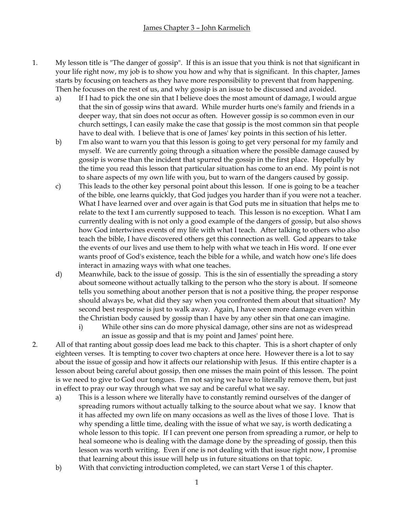- 1. My lesson title is "The danger of gossip". If this is an issue that you think is not that significant in your life right now, my job is to show you how and why that is significant. In this chapter, James starts by focusing on teachers as they have more responsibility to prevent that from happening. Then he focuses on the rest of us, and why gossip is an issue to be discussed and avoided.
	- a) If I had to pick the one sin that I believe does the most amount of damage, I would argue that the sin of gossip wins that award. While murder hurts one's family and friends in a deeper way, that sin does not occur as often. However gossip is so common even in our church settings, I can easily make the case that gossip is the most common sin that people have to deal with. I believe that is one of James' key points in this section of his letter.
	- b) I'm also want to warn you that this lesson is going to get very personal for my family and myself. We are currently going through a situation where the possible damage caused by gossip is worse than the incident that spurred the gossip in the first place. Hopefully by the time you read this lesson that particular situation has come to an end. My point is not to share aspects of my own life with you, but to warn of the dangers caused by gossip.
	- c) This leads to the other key personal point about this lesson. If one is going to be a teacher of the bible, one learns quickly, that God judges you harder than if you were not a teacher. What I have learned over and over again is that God puts me in situation that helps me to relate to the text I am currently supposed to teach. This lesson is no exception. What I am currently dealing with is not only a good example of the dangers of gossip, but also shows how God intertwines events of my life with what I teach. After talking to others who also teach the bible, I have discovered others get this connection as well. God appears to take the events of our lives and use them to help with what we teach in His word. If one ever wants proof of God's existence, teach the bible for a while, and watch how one's life does interact in amazing ways with what one teaches.
	- d) Meanwhile, back to the issue of gossip. This is the sin of essentially the spreading a story about someone without actually talking to the person who the story is about. If someone tells you something about another person that is not a positive thing, the proper response should always be, what did they say when you confronted them about that situation? My second best response is just to walk away. Again, I have seen more damage even within the Christian body caused by gossip than I have by any other sin that one can imagine.
		- i) While other sins can do more physical damage, other sins are not as widespread an issue as gossip and that is my point and James' point here.
- 2. All of that ranting about gossip does lead me back to this chapter. This is a short chapter of only eighteen verses. It is tempting to cover two chapters at once here. However there is a lot to say about the issue of gossip and how it affects our relationship with Jesus. If this entire chapter is a lesson about being careful about gossip, then one misses the main point of this lesson. The point is we need to give to God our tongues. I'm not saying we have to literally remove them, but just in effect to pray our way through what we say and be careful what we say.
	- a) This is a lesson where we literally have to constantly remind ourselves of the danger of spreading rumors without actually talking to the source about what we say. I know that it has affected my own life on many occasions as well as the lives of those I love. That is why spending a little time, dealing with the issue of what we say, is worth dedicating a whole lesson to this topic. If I can prevent one person from spreading a rumor, or help to heal someone who is dealing with the damage done by the spreading of gossip, then this lesson was worth writing. Even if one is not dealing with that issue right now, I promise that learning about this issue will help us in future situations on that topic.
	- b) With that convicting introduction completed, we can start Verse 1 of this chapter.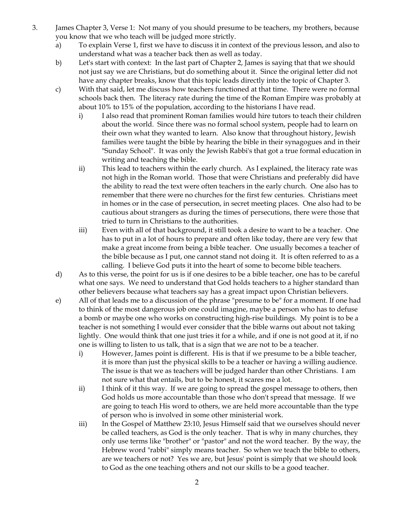- 3. James Chapter 3, Verse 1: Not many of you should presume to be teachers, my brothers, because you know that we who teach will be judged more strictly.
	- a) To explain Verse 1, first we have to discuss it in context of the previous lesson, and also to understand what was a teacher back then as well as today.
	- b) Let's start with context: In the last part of Chapter 2, James is saying that that we should not just say we are Christians, but do something about it. Since the original letter did not have any chapter breaks, know that this topic leads directly into the topic of Chapter 3.
	- c) With that said, let me discuss how teachers functioned at that time. There were no formal schools back then. The literacy rate during the time of the Roman Empire was probably at about 10% to 15% of the population, according to the historians I have read.
		- i) I also read that prominent Roman families would hire tutors to teach their children about the world. Since there was no formal school system, people had to learn on their own what they wanted to learn. Also know that throughout history, Jewish families were taught the bible by hearing the bible in their synagogues and in their "Sunday School". It was only the Jewish Rabbi's that got a true formal education in writing and teaching the bible.
		- ii) This lead to teachers within the early church. As I explained, the literacy rate was not high in the Roman world. Those that were Christians and preferably did have the ability to read the text were often teachers in the early church. One also has to remember that there were no churches for the first few centuries. Christians meet in homes or in the case of persecution, in secret meeting places. One also had to be cautious about strangers as during the times of persecutions, there were those that tried to turn in Christians to the authorities.
		- iii) Even with all of that background, it still took a desire to want to be a teacher. One has to put in a lot of hours to prepare and often like today, there are very few that make a great income from being a bible teacher. One usually becomes a teacher of the bible because as I put, one cannot stand not doing it. It is often referred to as a calling. I believe God puts it into the heart of some to become bible teachers.
	- d) As to this verse, the point for us is if one desires to be a bible teacher, one has to be careful what one says. We need to understand that God holds teachers to a higher standard than other believers because what teachers say has a great impact upon Christian believers.
	- e) All of that leads me to a discussion of the phrase "presume to be" for a moment. If one had to think of the most dangerous job one could imagine, maybe a person who has to defuse a bomb or maybe one who works on constructing high-rise buildings. My point is to be a teacher is not something I would ever consider that the bible warns out about not taking lightly. One would think that one just tries it for a while, and if one is not good at it, if no one is willing to listen to us talk, that is a sign that we are not to be a teacher.
		- i) However, James point is different. His is that if we presume to be a bible teacher, it is more than just the physical skills to be a teacher or having a willing audience. The issue is that we as teachers will be judged harder than other Christians. I am not sure what that entails, but to be honest, it scares me a lot.
		- ii) I think of it this way. If we are going to spread the gospel message to others, then God holds us more accountable than those who don't spread that message. If we are going to teach His word to others, we are held more accountable than the type of person who is involved in some other ministerial work.
		- iii) In the Gospel of Matthew 23:10, Jesus Himself said that we ourselves should never be called teachers, as God is the only teacher. That is why in many churches, they only use terms like "brother" or "pastor" and not the word teacher. By the way, the Hebrew word "rabbi" simply means teacher. So when we teach the bible to others, are we teachers or not? Yes we are, but Jesus' point is simply that we should look to God as the one teaching others and not our skills to be a good teacher.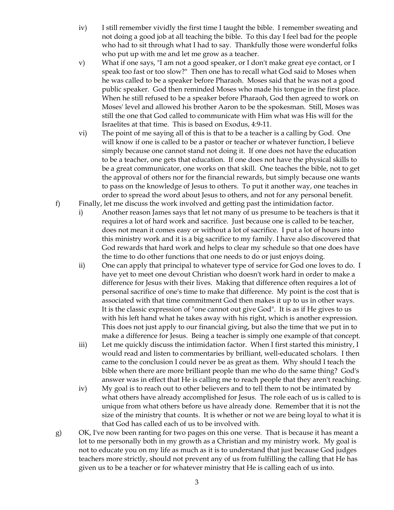- iv) I still remember vividly the first time I taught the bible. I remember sweating and not doing a good job at all teaching the bible. To this day I feel bad for the people who had to sit through what I had to say. Thankfully those were wonderful folks who put up with me and let me grow as a teacher.
- v) What if one says, "I am not a good speaker, or I don't make great eye contact, or I speak too fast or too slow?" Then one has to recall what God said to Moses when he was called to be a speaker before Pharaoh. Moses said that he was not a good public speaker. God then reminded Moses who made his tongue in the first place. When he still refused to be a speaker before Pharaoh, God then agreed to work on Moses' level and allowed his brother Aaron to be the spokesman. Still, Moses was still the one that God called to communicate with Him what was His will for the Israelites at that time. This is based on Exodus, 4:9-11.
- vi) The point of me saying all of this is that to be a teacher is a calling by God. One will know if one is called to be a pastor or teacher or whatever function, I believe simply because one cannot stand not doing it. If one does not have the education to be a teacher, one gets that education. If one does not have the physical skills to be a great communicator, one works on that skill. One teaches the bible, not to get the approval of others nor for the financial rewards, but simply because one wants to pass on the knowledge of Jesus to others. To put it another way, one teaches in order to spread the word about Jesus to others, and not for any personal benefit.
- f) Finally, let me discuss the work involved and getting past the intimidation factor.
	- i) Another reason James says that let not many of us presume to be teachers is that it requires a lot of hard work and sacrifice. Just because one is called to be teacher, does not mean it comes easy or without a lot of sacrifice. I put a lot of hours into this ministry work and it is a big sacrifice to my family. I have also discovered that God rewards that hard work and helps to clear my schedule so that one does have the time to do other functions that one needs to do or just enjoys doing.
	- ii) One can apply that principal to whatever type of service for God one loves to do. I have yet to meet one devout Christian who doesn't work hard in order to make a difference for Jesus with their lives. Making that difference often requires a lot of personal sacrifice of one's time to make that difference. My point is the cost that is associated with that time commitment God then makes it up to us in other ways. It is the classic expression of "one cannot out give God". It is as if He gives to us with his left hand what he takes away with his right, which is another expression. This does not just apply to our financial giving, but also the time that we put in to make a difference for Jesus. Being a teacher is simply one example of that concept.
	- iii) Let me quickly discuss the intimidation factor. When I first started this ministry, I would read and listen to commentaries by brilliant, well-educated scholars. I then came to the conclusion I could never be as great as them. Why should I teach the bible when there are more brilliant people than me who do the same thing? God's answer was in effect that He is calling me to reach people that they aren't reaching.
	- iv) My goal is to reach out to other believers and to tell them to not be intimated by what others have already accomplished for Jesus. The role each of us is called to is unique from what others before us have already done. Remember that it is not the size of the ministry that counts. It is whether or not we are being loyal to what it is that God has called each of us to be involved with.
- g) OK, I've now been ranting for two pages on this one verse. That is because it has meant a lot to me personally both in my growth as a Christian and my ministry work. My goal is not to educate you on my life as much as it is to understand that just because God judges teachers more strictly, should not prevent any of us from fulfilling the calling that He has given us to be a teacher or for whatever ministry that He is calling each of us into.
	- 3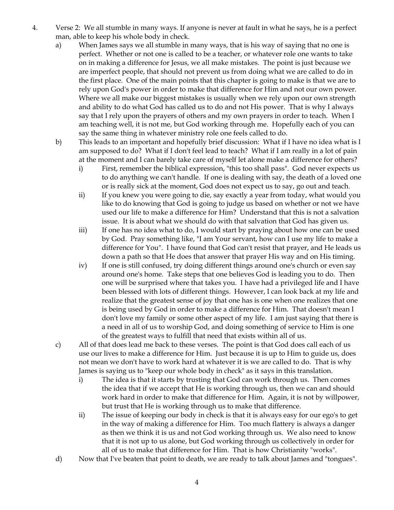- 4. Verse 2: We all stumble in many ways. If anyone is never at fault in what he says, he is a perfect man, able to keep his whole body in check.
	- a) When James says we all stumble in many ways, that is his way of saying that no one is perfect. Whether or not one is called to be a teacher, or whatever role one wants to take on in making a difference for Jesus, we all make mistakes. The point is just because we are imperfect people, that should not prevent us from doing what we are called to do in the first place. One of the main points that this chapter is going to make is that we are to rely upon God's power in order to make that difference for Him and not our own power. Where we all make our biggest mistakes is usually when we rely upon our own strength and ability to do what God has called us to do and not His power. That is why I always say that I rely upon the prayers of others and my own prayers in order to teach. When I am teaching well, it is not me, but God working through me. Hopefully each of you can say the same thing in whatever ministry role one feels called to do.
	- b) This leads to an important and hopefully brief discussion: What if I have no idea what is I am supposed to do? What if I don't feel lead to teach? What if I am really in a lot of pain at the moment and I can barely take care of myself let alone make a difference for others?
		- i) First, remember the biblical expression, "this too shall pass". God never expects us to do anything we can't handle. If one is dealing with say, the death of a loved one or is really sick at the moment, God does not expect us to say, go out and teach.
		- ii) If you knew you were going to die, say exactly a year from today, what would you like to do knowing that God is going to judge us based on whether or not we have used our life to make a difference for Him? Understand that this is not a salvation issue. It is about what we should do with that salvation that God has given us.
		- iii) If one has no idea what to do, I would start by praying about how one can be used by God. Pray something like, "I am Your servant, how can I use my life to make a difference for You". I have found that God can't resist that prayer, and He leads us down a path so that He does that answer that prayer His way and on His timing.
		- iv) If one is still confused, try doing different things around one's church or even say around one's home. Take steps that one believes God is leading you to do. Then one will be surprised where that takes you. I have had a privileged life and I have been blessed with lots of different things. However, I can look back at my life and realize that the greatest sense of joy that one has is one when one realizes that one is being used by God in order to make a difference for Him. That doesn't mean I don't love my family or some other aspect of my life. I am just saying that there is a need in all of us to worship God, and doing something of service to Him is one of the greatest ways to fulfill that need that exists within all of us.
	- c) All of that does lead me back to these verses. The point is that God does call each of us use our lives to make a difference for Him. Just because it is up to Him to guide us, does not mean we don't have to work hard at whatever it is we are called to do. That is why James is saying us to "keep our whole body in check" as it says in this translation.
		- i) The idea is that it starts by trusting that God can work through us. Then comes the idea that if we accept that He is working through us, then we can and should work hard in order to make that difference for Him. Again, it is not by willpower, but trust that He is working through us to make that difference.
		- ii) The issue of keeping our body in check is that it is always easy for our ego's to get in the way of making a difference for Him. Too much flattery is always a danger as then we think it is us and not God working through us. We also need to know that it is not up to us alone, but God working through us collectively in order for all of us to make that difference for Him. That is how Christianity "works".
	- d) Now that I've beaten that point to death, we are ready to talk about James and "tongues".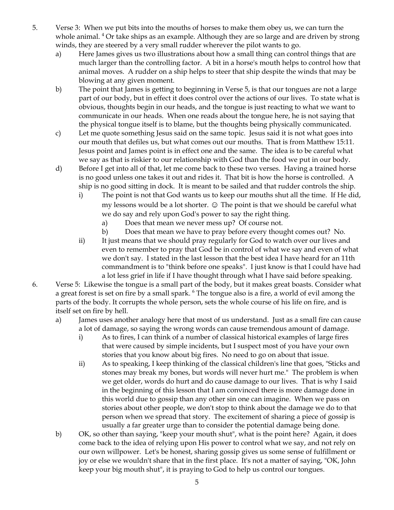- 5. Verse 3: When we put bits into the mouths of horses to make them obey us, we can turn the whole animal. <sup>4</sup> Or take ships as an example. Although they are so large and are driven by strong winds, they are steered by a very small rudder wherever the pilot wants to go.
	- a) Here James gives us two illustrations about how a small thing can control things that are much larger than the controlling factor. A bit in a horse's mouth helps to control how that animal moves. A rudder on a ship helps to steer that ship despite the winds that may be blowing at any given moment.
	- b) The point that James is getting to beginning in Verse 5, is that our tongues are not a large part of our body, but in effect it does control over the actions of our lives. To state what is obvious, thoughts begin in our heads, and the tongue is just reacting to what we want to communicate in our heads. When one reads about the tongue here, he is not saying that the physical tongue itself is to blame, but the thoughts being physically communicated.
	- c) Let me quote something Jesus said on the same topic. Jesus said it is not what goes into our mouth that defiles us, but what comes out our mouths. That is from Matthew 15:11. Jesus point and James point is in effect one and the same. The idea is to be careful what we say as that is riskier to our relationship with God than the food we put in our body.
	- d) Before I get into all of that, let me come back to these two verses. Having a trained horse is no good unless one takes it out and rides it. That bit is how the horse is controlled. A ship is no good sitting in dock. It is meant to be sailed and that rudder controls the ship.
		- i) The point is not that God wants us to keep our mouths shut all the time. If He did, my lessons would be a lot shorter. ☺ The point is that we should be careful what we do say and rely upon God's power to say the right thing.
			- a) Does that mean we never mess up? Of course not.
			- b) Does that mean we have to pray before every thought comes out? No.
		- ii) It just means that we should pray regularly for God to watch over our lives and even to remember to pray that God be in control of what we say and even of what we don't say. I stated in the last lesson that the best idea I have heard for an 11th commandment is to "think before one speaks". I just know is that I could have had a lot less grief in life if I have thought through what I have said before speaking.
- 6. Verse 5: Likewise the tongue is a small part of the body, but it makes great boasts. Consider what a great forest is set on fire by a small spark. <sup>6</sup> The tongue also is a fire, a world of evil among the parts of the body. It corrupts the whole person, sets the whole course of his life on fire, and is itself set on fire by hell.
	- a) James uses another analogy here that most of us understand. Just as a small fire can cause a lot of damage, so saying the wrong words can cause tremendous amount of damage.
		- i) As to fires, I can think of a number of classical historical examples of large fires that were caused by simple incidents, but I suspect most of you have your own stories that you know about big fires. No need to go on about that issue.
		- ii) As to speaking, I keep thinking of the classical children's line that goes, "Sticks and stones may break my bones, but words will never hurt me." The problem is when we get older, words do hurt and do cause damage to our lives. That is why I said in the beginning of this lesson that I am convinced there is more damage done in this world due to gossip than any other sin one can imagine. When we pass on stories about other people, we don't stop to think about the damage we do to that person when we spread that story. The excitement of sharing a piece of gossip is usually a far greater urge than to consider the potential damage being done.
	- b) OK, so other than saying, "keep your mouth shut", what is the point here? Again, it does come back to the idea of relying upon His power to control what we say, and not rely on our own willpower. Let's be honest, sharing gossip gives us some sense of fulfillment or joy or else we wouldn't share that in the first place. It's not a matter of saying, "OK, John keep your big mouth shut", it is praying to God to help us control our tongues.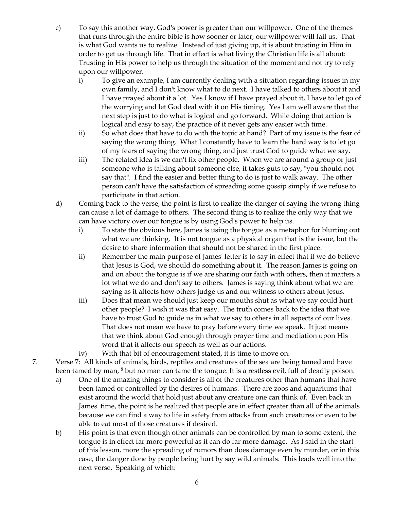- c) To say this another way, God's power is greater than our willpower. One of the themes that runs through the entire bible is how sooner or later, our willpower will fail us. That is what God wants us to realize. Instead of just giving up, it is about trusting in Him in order to get us through life. That in effect is what living the Christian life is all about: Trusting in His power to help us through the situation of the moment and not try to rely upon our willpower.
	- i) To give an example, I am currently dealing with a situation regarding issues in my own family, and I don't know what to do next. I have talked to others about it and I have prayed about it a lot. Yes I know if I have prayed about it, I have to let go of the worrying and let God deal with it on His timing. Yes I am well aware that the next step is just to do what is logical and go forward. While doing that action is logical and easy to say, the practice of it never gets any easier with time.
	- ii) So what does that have to do with the topic at hand? Part of my issue is the fear of saying the wrong thing. What I constantly have to learn the hard way is to let go of my fears of saying the wrong thing, and just trust God to guide what we say.
	- iii) The related idea is we can't fix other people. When we are around a group or just someone who is talking about someone else, it takes guts to say, "you should not say that". I find the easier and better thing to do is just to walk away. The other person can't have the satisfaction of spreading some gossip simply if we refuse to participate in that action.
- d) Coming back to the verse, the point is first to realize the danger of saying the wrong thing can cause a lot of damage to others. The second thing is to realize the only way that we can have victory over our tongue is by using God's power to help us.
	- i) To state the obvious here, James is using the tongue as a metaphor for blurting out what we are thinking. It is not tongue as a physical organ that is the issue, but the desire to share information that should not be shared in the first place.
	- ii) Remember the main purpose of James' letter is to say in effect that if we do believe that Jesus is God, we should do something about it. The reason James is going on and on about the tongue is if we are sharing our faith with others, then it matters a lot what we do and don't say to others. James is saying think about what we are saying as it affects how others judge us and our witness to others about Jesus.
	- iii) Does that mean we should just keep our mouths shut as what we say could hurt other people? I wish it was that easy. The truth comes back to the idea that we have to trust God to guide us in what we say to others in all aspects of our lives. That does not mean we have to pray before every time we speak. It just means that we think about God enough through prayer time and mediation upon His word that it affects our speech as well as our actions.
	- iv) With that bit of encouragement stated, it is time to move on.
- 7. Verse 7: All kinds of animals, birds, reptiles and creatures of the sea are being tamed and have been tamed by man, <sup>8</sup> but no man can tame the tongue. It is a restless evil, full of deadly poison.
	- a) One of the amazing things to consider is all of the creatures other than humans that have been tamed or controlled by the desires of humans. There are zoos and aquariums that exist around the world that hold just about any creature one can think of. Even back in James' time, the point is he realized that people are in effect greater than all of the animals because we can find a way to life in safety from attacks from such creatures or even to be able to eat most of those creatures if desired.
	- b) His point is that even though other animals can be controlled by man to some extent, the tongue is in effect far more powerful as it can do far more damage. As I said in the start of this lesson, more the spreading of rumors than does damage even by murder, or in this case, the danger done by people being hurt by say wild animals. This leads well into the next verse. Speaking of which: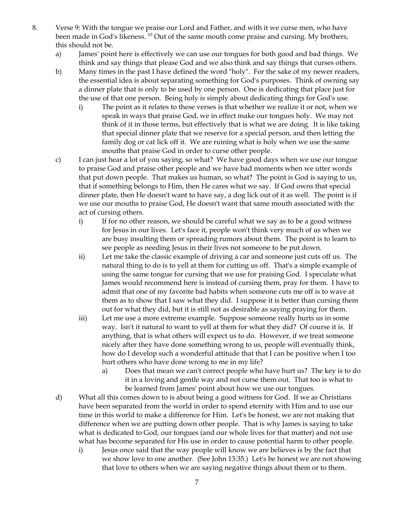- 8. Verse 9: With the tongue we praise our Lord and Father, and with it we curse men, who have been made in God's likeness. <sup>10</sup> Out of the same mouth come praise and cursing. My brothers, this should not be.
	- a) James' point here is effectively we can use our tongues for both good and bad things. We think and say things that please God and we also think and say things that curses others.
	- b) Many times in the past I have defined the word "holy". For the sake of my newer readers, the essential idea is about separating something for God's purposes. Think of owning say a dinner plate that is only to be used by one person. One is dedicating that place just for the use of that one person. Being holy is simply about dedicating things for God's use.
		- i) The point as it relates to these verses is that whether we realize it or not, when we speak in ways that praise God, we in effect make our tongues holy. We may not think of it in those terms, but effectively that is what we are doing. It is like taking that special dinner plate that we reserve for a special person, and then letting the family dog or cat lick off it. We are ruining what is holy when we use the same mouths that praise God in order to curse other people.
	- c) I can just hear a lot of you saying, so what? We have good days when we use our tongue to praise God and praise other people and we have bad moments when we utter words that put down people. That makes us human, so what? The point is God is saying to us, that if something belongs to Him, then He cares what we say. If God owns that special dinner plate, then He doesn't want to have say, a dog lick out of it as well. The point is if we use our mouths to praise God, He doesn't want that same mouth associated with the act of cursing others.
		- i) If for no other reason, we should be careful what we say as to be a good witness for Jesus in our lives. Let's face it, people won't think very much of us when we are busy insulting them or spreading rumors about them. The point is to learn to see people as needing Jesus in their lives not someone to be put down.
		- ii) Let me take the classic example of driving a car and someone just cuts off us. The natural thing to do is to yell at them for cutting us off. That's a simple example of using the same tongue for cursing that we use for praising God. I speculate what James would recommend here is instead of cursing them, pray for them. I have to admit that one of my favorite bad habits when someone cuts me off is to wave at them as to show that I saw what they did. I suppose it is better than cursing them out for what they did, but it is still not as desirable as saying praying for them.
		- iii) Let me use a more extreme example. Suppose someone really hurts us in some way. Isn't it natural to want to yell at them for what they did? Of course it is. If anything, that is what others will expect us to do. However, if we treat someone nicely after they have done something wrong to us, people will eventually think, how do I develop such a wonderful attitude that that I can be positive when I too hurt others who have done wrong to me in my life?
			- a) Does that mean we can't correct people who have hurt us? The key is to do it in a loving and gentle way and not curse them out. That too is what to be learned from James' point about how we use our tongues.
	- d) What all this comes down to is about being a good witness for God. If we as Christians have been separated from the world in order to spend eternity with Him and to use our time in this world to make a difference for Him. Let's be honest, we are not making that difference when we are putting down other people. That is why James is saying to take what is dedicated to God, our tongues (and our whole lives for that matter) and not use what has become separated for His use in order to cause potential harm to other people.
		- i) Jesus once said that the way people will know we are believes is by the fact that we show love to one another. (See John 13:35.) Let's be honest we are not showing that love to others when we are saying negative things about them or to them.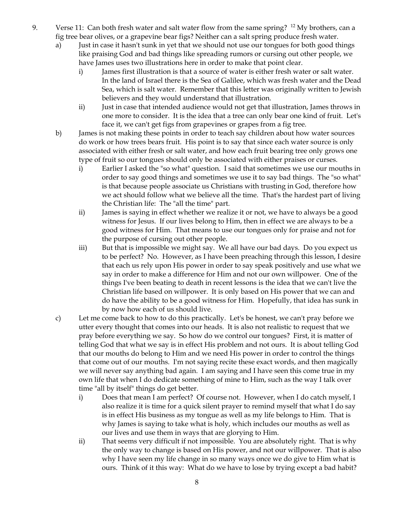- 9. Verse 11: Can both fresh water and salt water flow from the same spring? <sup>12</sup> My brothers, can a fig tree bear olives, or a grapevine bear figs? Neither can a salt spring produce fresh water.
	- a) Just in case it hasn't sunk in yet that we should not use our tongues for both good things like praising God and bad things like spreading rumors or cursing out other people, we have James uses two illustrations here in order to make that point clear.
		- i) James first illustration is that a source of water is either fresh water or salt water. In the land of Israel there is the Sea of Galilee, which was fresh water and the Dead Sea, which is salt water. Remember that this letter was originally written to Jewish believers and they would understand that illustration.
		- ii) Just in case that intended audience would not get that illustration, James throws in one more to consider. It is the idea that a tree can only bear one kind of fruit. Let's face it, we can't get figs from grapevines or grapes from a fig tree.
	- b) James is not making these points in order to teach say children about how water sources do work or how trees bears fruit. His point is to say that since each water source is only associated with either fresh or salt water, and how each fruit bearing tree only grows one type of fruit so our tongues should only be associated with either praises or curses.
		- i) Earlier I asked the "so what" question. I said that sometimes we use our mouths in order to say good things and sometimes we use it to say bad things. The "so what" is that because people associate us Christians with trusting in God, therefore how we act should follow what we believe all the time. That's the hardest part of living the Christian life: The "all the time" part.
		- ii) James is saying in effect whether we realize it or not, we have to always be a good witness for Jesus. If our lives belong to Him, then in effect we are always to be a good witness for Him. That means to use our tongues only for praise and not for the purpose of cursing out other people.
		- iii) But that is impossible we might say. We all have our bad days. Do you expect us to be perfect? No. However, as I have been preaching through this lesson, I desire that each us rely upon His power in order to say speak positively and use what we say in order to make a difference for Him and not our own willpower. One of the things I've been beating to death in recent lessons is the idea that we can't live the Christian life based on willpower. It is only based on His power that we can and do have the ability to be a good witness for Him. Hopefully, that idea has sunk in by now how each of us should live.
	- c) Let me come back to how to do this practically. Let's be honest, we can't pray before we utter every thought that comes into our heads. It is also not realistic to request that we pray before everything we say. So how do we control our tongues? First, it is matter of telling God that what we say is in effect His problem and not ours. It is about telling God that our mouths do belong to Him and we need His power in order to control the things that come out of our mouths. I'm not saying recite these exact words, and then magically we will never say anything bad again. I am saying and I have seen this come true in my own life that when I do dedicate something of mine to Him, such as the way I talk over time "all by itself" things do get better.
		- i) Does that mean I am perfect? Of course not. However, when I do catch myself, I also realize it is time for a quick silent prayer to remind myself that what I do say is in effect His business as my tongue as well as my life belongs to Him. That is why James is saying to take what is holy, which includes our mouths as well as our lives and use them in ways that are glorying to Him.
		- ii) That seems very difficult if not impossible. You are absolutely right. That is why the only way to change is based on His power, and not our willpower. That is also why I have seen my life change in so many ways once we do give to Him what is ours. Think of it this way: What do we have to lose by trying except a bad habit?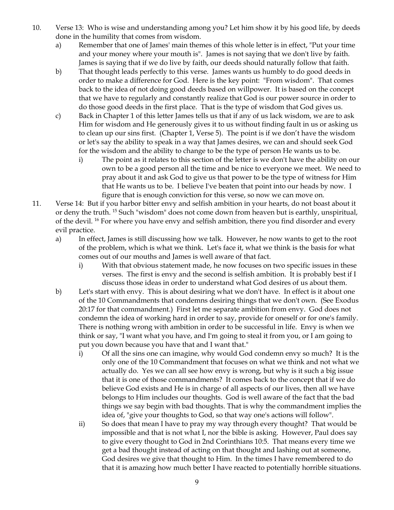- 10. Verse 13: Who is wise and understanding among you? Let him show it by his good life, by deeds done in the humility that comes from wisdom.
	- a) Remember that one of James' main themes of this whole letter is in effect, "Put your time and your money where your mouth is". James is not saying that we don't live by faith. James is saying that if we do live by faith, our deeds should naturally follow that faith.
	- b) That thought leads perfectly to this verse. James wants us humbly to do good deeds in order to make a difference for God. Here is the key point: "From wisdom". That comes back to the idea of not doing good deeds based on willpower. It is based on the concept that we have to regularly and constantly realize that God is our power source in order to do those good deeds in the first place. That is the type of wisdom that God gives us.
	- c) Back in Chapter 1 of this letter James tells us that if any of us lack wisdom, we are to ask Him for wisdom and He generously gives it to us without finding fault in us or asking us to clean up our sins first. (Chapter 1, Verse 5). The point is if we don't have the wisdom or let's say the ability to speak in a way that James desires, we can and should seek God for the wisdom and the ability to change to be the type of person He wants us to be.
		- i) The point as it relates to this section of the letter is we don't have the ability on our own to be a good person all the time and be nice to everyone we meet. We need to pray about it and ask God to give us that power to be the type of witness for Him that He wants us to be. I believe I've beaten that point into our heads by now. I figure that is enough conviction for this verse, so now we can move on.
- 11. Verse 14: But if you harbor bitter envy and selfish ambition in your hearts, do not boast about it or deny the truth. <sup>15</sup> Such "wisdom" does not come down from heaven but is earthly, unspiritual, of the devil. <sup>16</sup> For where you have envy and selfish ambition, there you find disorder and every evil practice.
	- a) In effect, James is still discussing how we talk. However, he now wants to get to the root of the problem, which is what we think. Let's face it, what we think is the basis for what comes out of our mouths and James is well aware of that fact.
		- i) With that obvious statement made, he now focuses on two specific issues in these verses. The first is envy and the second is selfish ambition. It is probably best if I discuss those ideas in order to understand what God desires of us about them.
	- b) Let's start with envy. This is about desiring what we don't have. In effect is it about one of the 10 Commandments that condemns desiring things that we don't own. (See Exodus 20:17 for that commandment.) First let me separate ambition from envy. God does not condemn the idea of working hard in order to say, provide for oneself or for one's family. There is nothing wrong with ambition in order to be successful in life. Envy is when we think or say, "I want what you have, and I'm going to steal it from you, or I am going to put you down because you have that and I want that."
		- i) Of all the sins one can imagine, why would God condemn envy so much? It is the only one of the 10 Commandment that focuses on what we think and not what we actually do. Yes we can all see how envy is wrong, but why is it such a big issue that it is one of those commandments? It comes back to the concept that if we do believe God exists and He is in charge of all aspects of our lives, then all we have belongs to Him includes our thoughts. God is well aware of the fact that the bad things we say begin with bad thoughts. That is why the commandment implies the idea of, "give your thoughts to God, so that way one's actions will follow".
		- ii) So does that mean I have to pray my way through every thought? That would be impossible and that is not what I, nor the bible is asking. However, Paul does say to give every thought to God in 2nd Corinthians 10:5. That means every time we get a bad thought instead of acting on that thought and lashing out at someone, God desires we give that thought to Him. In the times I have remembered to do that it is amazing how much better I have reacted to potentially horrible situations.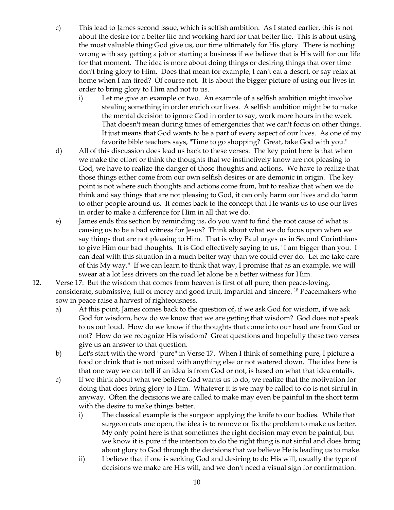- c) This lead to James second issue, which is selfish ambition. As I stated earlier, this is not about the desire for a better life and working hard for that better life. This is about using the most valuable thing God give us, our time ultimately for His glory. There is nothing wrong with say getting a job or starting a business if we believe that is His will for our life for that moment. The idea is more about doing things or desiring things that over time don't bring glory to Him. Does that mean for example, I can't eat a desert, or say relax at home when I am tired? Of course not. It is about the bigger picture of using our lives in order to bring glory to Him and not to us.
	- i) Let me give an example or two. An example of a selfish ambition might involve stealing something in order enrich our lives. A selfish ambition might be to make the mental decision to ignore God in order to say, work more hours in the week. That doesn't mean during times of emergencies that we can't focus on other things. It just means that God wants to be a part of every aspect of our lives. As one of my favorite bible teachers says, "Time to go shopping? Great, take God with you."
- d) All of this discussion does lead us back to these verses. The key point here is that when we make the effort or think the thoughts that we instinctively know are not pleasing to God, we have to realize the danger of those thoughts and actions. We have to realize that those things either come from our own selfish desires or are demonic in origin. The key point is not where such thoughts and actions come from, but to realize that when we do think and say things that are not pleasing to God, it can only harm our lives and do harm to other people around us. It comes back to the concept that He wants us to use our lives in order to make a difference for Him in all that we do.
- e) James ends this section by reminding us, do you want to find the root cause of what is causing us to be a bad witness for Jesus? Think about what we do focus upon when we say things that are not pleasing to Him. That is why Paul urges us in Second Corinthians to give Him our bad thoughts. It is God effectively saying to us, "I am bigger than you. I can deal with this situation in a much better way than we could ever do. Let me take care of this My way." If we can learn to think that way, I promise that as an example, we will swear at a lot less drivers on the road let alone be a better witness for Him.
- 12. Verse 17: But the wisdom that comes from heaven is first of all pure; then peace-loving, considerate, submissive, full of mercy and good fruit, impartial and sincere. <sup>18</sup> Peacemakers who sow in peace raise a harvest of righteousness.
	- a) At this point, James comes back to the question of, if we ask God for wisdom, if we ask God for wisdom, how do we know that we are getting that wisdom? God does not speak to us out loud. How do we know if the thoughts that come into our head are from God or not? How do we recognize His wisdom? Great questions and hopefully these two verses give us an answer to that question.
	- b) Let's start with the word "pure" in Verse 17. When I think of something pure, I picture a food or drink that is not mixed with anything else or not watered down. The idea here is that one way we can tell if an idea is from God or not, is based on what that idea entails.
	- c) If we think about what we believe God wants us to do, we realize that the motivation for doing that does bring glory to Him. Whatever it is we may be called to do is not sinful in anyway. Often the decisions we are called to make may even be painful in the short term with the desire to make things better.
		- i) The classical example is the surgeon applying the knife to our bodies. While that surgeon cuts one open, the idea is to remove or fix the problem to make us better. My only point here is that sometimes the right decision may even be painful, but we know it is pure if the intention to do the right thing is not sinful and does bring about glory to God through the decisions that we believe He is leading us to make.
		- ii) I believe that if one is seeking God and desiring to do His will, usually the type of decisions we make are His will, and we don't need a visual sign for confirmation.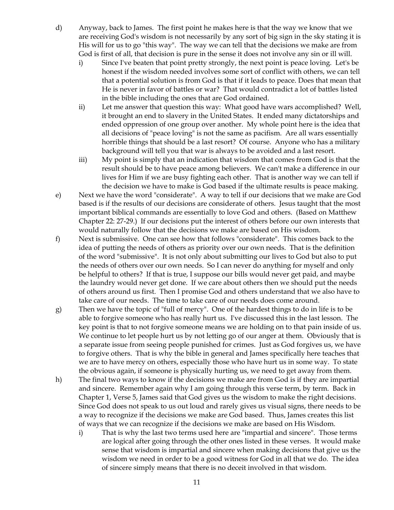- d) Anyway, back to James. The first point he makes here is that the way we know that we are receiving God's wisdom is not necessarily by any sort of big sign in the sky stating it is His will for us to go "this way". The way we can tell that the decisions we make are from God is first of all, that decision is pure in the sense it does not involve any sin or ill will.
	- i) Since I've beaten that point pretty strongly, the next point is peace loving. Let's be honest if the wisdom needed involves some sort of conflict with others, we can tell that a potential solution is from God is that if it leads to peace. Does that mean that He is never in favor of battles or war? That would contradict a lot of battles listed in the bible including the ones that are God ordained.
	- ii) Let me answer that question this way: What good have wars accomplished? Well, it brought an end to slavery in the United States. It ended many dictatorships and ended oppression of one group over another. My whole point here is the idea that all decisions of "peace loving" is not the same as pacifism. Are all wars essentially horrible things that should be a last resort? Of course. Anyone who has a military background will tell you that war is always to be avoided and a last resort.
	- iii) My point is simply that an indication that wisdom that comes from God is that the result should be to have peace among believers. We can't make a difference in our lives for Him if we are busy fighting each other. That is another way we can tell if the decision we have to make is God based if the ultimate results is peace making.
- e) Next we have the word "considerate". A way to tell if our decisions that we make are God based is if the results of our decisions are considerate of others. Jesus taught that the most important biblical commands are essentially to love God and others. (Based on Matthew Chapter 22: 27-29.) If our decisions put the interest of others before our own interests that would naturally follow that the decisions we make are based on His wisdom.
- f) Next is submissive. One can see how that follows "considerate". This comes back to the idea of putting the needs of others as priority over our own needs. That is the definition of the word "submissive". It is not only about submitting our lives to God but also to put the needs of others over our own needs. So I can never do anything for myself and only be helpful to others? If that is true, I suppose our bills would never get paid, and maybe the laundry would never get done. If we care about others then we should put the needs of others around us first. Then I promise God and others understand that we also have to take care of our needs. The time to take care of our needs does come around.
- g) Then we have the topic of "full of mercy". One of the hardest things to do in life is to be able to forgive someone who has really hurt us. I've discussed this in the last lesson. The key point is that to not forgive someone means we are holding on to that pain inside of us. We continue to let people hurt us by not letting go of our anger at them. Obviously that is a separate issue from seeing people punished for crimes. Just as God forgives us, we have to forgive others. That is why the bible in general and James specifically here teaches that we are to have mercy on others, especially those who have hurt us in some way. To state the obvious again, if someone is physically hurting us, we need to get away from them.
- h) The final two ways to know if the decisions we make are from God is if they are impartial and sincere. Remember again why I am going through this verse term, by term. Back in Chapter 1, Verse 5, James said that God gives us the wisdom to make the right decisions. Since God does not speak to us out loud and rarely gives us visual signs, there needs to be a way to recognize if the decisions we make are God based. Thus, James creates this list of ways that we can recognize if the decisions we make are based on His Wisdom.
	- i) That is why the last two terms used here are "impartial and sincere". Those terms are logical after going through the other ones listed in these verses. It would make sense that wisdom is impartial and sincere when making decisions that give us the wisdom we need in order to be a good witness for God in all that we do. The idea of sincere simply means that there is no deceit involved in that wisdom.